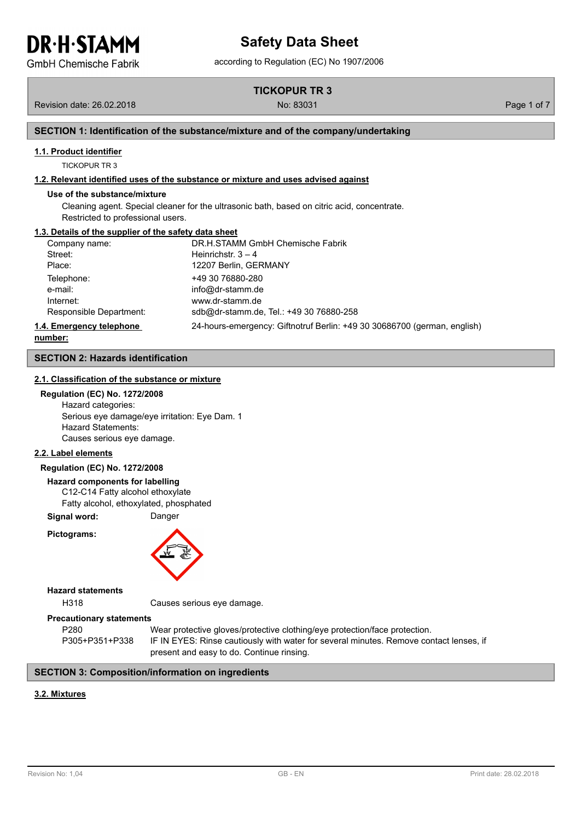**GmbH Chemische Fabrik** 

**TICKOPUR TR 3**

Revision date: 26.02.2018 No: 83031 Page 1 of 7

## **SECTION 1: Identification of the substance/mixture and of the company/undertaking**

## **1.1. Product identifier**

TICKOPUR TR 3

## **1.2. Relevant identified uses of the substance or mixture and uses advised against**

#### **Use of the substance/mixture**

Cleaning agent. Special cleaner for the ultrasonic bath, based on citric acid, concentrate. Restricted to professional users.

#### **1.3. Details of the supplier of the safety data sheet**

| Company name:            | DR.H.STAMM GmbH Chemische Fabrik                                         |
|--------------------------|--------------------------------------------------------------------------|
| Street:                  | Heinrichstr. $3 - 4$                                                     |
| Place:                   | 12207 Berlin, GERMANY                                                    |
| Telephone:               | +49 30 76880-280                                                         |
| e-mail:                  | info@dr-stamm.de                                                         |
| Internet:                | www.dr-stamm.de                                                          |
| Responsible Department:  | sdb@dr-stamm.de, Tel.: +49 30 76880-258                                  |
| 1.4. Emergency telephone | 24-hours-emergency: Giftnotruf Berlin: +49 30 30686700 (german, english) |

**number:**

## **SECTION 2: Hazards identification**

## **2.1. Classification of the substance or mixture**

**Regulation (EC) No. 1272/2008** Hazard categories: Serious eye damage/eye irritation: Eye Dam. 1 Hazard Statements:

Causes serious eye damage.

## **2.2. Label elements**

## **Regulation (EC) No. 1272/2008**

## **Hazard components for labelling**

C12-C14 Fatty alcohol ethoxylate Fatty alcohol, ethoxylated, phosphated

**Signal word:** Danger

**Pictograms:**



#### **Hazard statements**

H318 Causes serious eye damage.

#### **Precautionary statements**

P280 Wear protective gloves/protective clothing/eye protection/face protection. P305+P351+P338 IF IN EYES: Rinse cautiously with water for several minutes. Remove contact lenses, if present and easy to do. Continue rinsing.

## **SECTION 3: Composition/information on ingredients**

#### **3.2. Mixtures**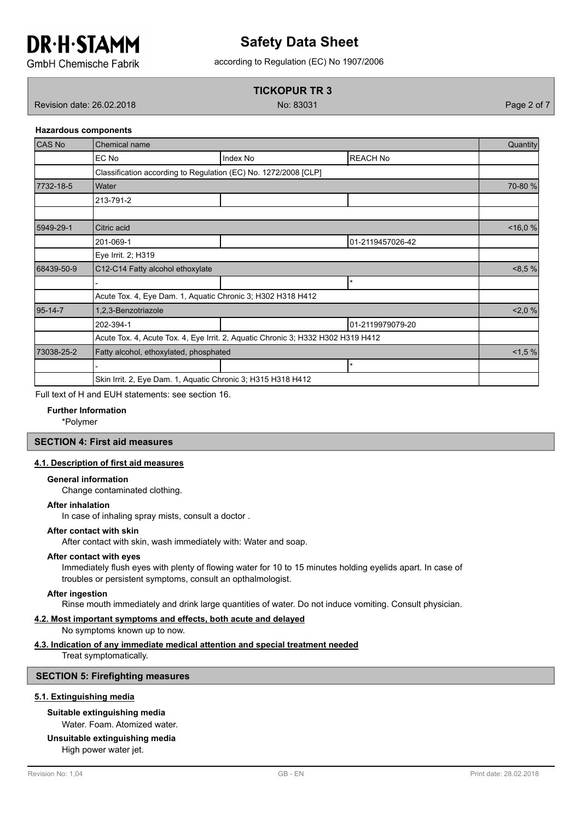## **Safety Data Sheet**

according to Regulation (EC) No 1907/2006

**GmbH Chemische Fabrik** 

## **TICKOPUR TR 3**

Revision date: 26.02.2018 No: 83031 Page 2 of 7

## **Hazardous components**

| <b>CAS No</b> | <b>Chemical name</b>                                                             |          |                  |            |  |  |
|---------------|----------------------------------------------------------------------------------|----------|------------------|------------|--|--|
|               | EC No                                                                            | Index No | <b>REACH No</b>  |            |  |  |
|               | Classification according to Regulation (EC) No. 1272/2008 [CLP]                  |          |                  |            |  |  |
| 7732-18-5     | <b>Water</b>                                                                     |          |                  | 70-80 %    |  |  |
|               | 213-791-2                                                                        |          |                  |            |  |  |
|               |                                                                                  |          |                  |            |  |  |
| 5949-29-1     | Citric acid                                                                      |          |                  | $<$ 16,0 % |  |  |
|               | 201-069-1                                                                        |          | 01-2119457026-42 |            |  |  |
|               | Eye Irrit. 2; H319                                                               |          |                  |            |  |  |
| 68439-50-9    | C12-C14 Fatty alcohol ethoxylate                                                 |          |                  | <8,5%      |  |  |
|               |                                                                                  |          | *                |            |  |  |
|               | Acute Tox. 4, Eye Dam. 1, Aquatic Chronic 3; H302 H318 H412                      |          |                  |            |  |  |
| $95 - 14 - 7$ | 1,2,3-Benzotriazole                                                              |          |                  |            |  |  |
|               | 202-394-1                                                                        |          | 01-2119979079-20 |            |  |  |
|               | Acute Tox. 4, Acute Tox. 4, Eye Irrit. 2, Aquatic Chronic 3; H332 H302 H319 H412 |          |                  |            |  |  |
| 73038-25-2    | Fatty alcohol, ethoxylated, phosphated                                           |          |                  |            |  |  |
|               |                                                                                  |          | *                |            |  |  |
|               | Skin Irrit. 2, Eye Dam. 1, Aquatic Chronic 3; H315 H318 H412                     |          |                  |            |  |  |

Full text of H and EUH statements: see section 16.

**Further Information**

\*Polymer

## **SECTION 4: First aid measures**

## **4.1. Description of first aid measures**

## **General information**

Change contaminated clothing.

#### **After inhalation**

In case of inhaling spray mists, consult a doctor .

## **After contact with skin**

After contact with skin, wash immediately with: Water and soap.

#### **After contact with eyes**

Immediately flush eyes with plenty of flowing water for 10 to 15 minutes holding eyelids apart. In case of troubles or persistent symptoms, consult an opthalmologist.

#### **After ingestion**

Rinse mouth immediately and drink large quantities of water. Do not induce vomiting. Consult physician.

## **4.2. Most important symptoms and effects, both acute and delayed**

No symptoms known up to now.

#### **4.3. Indication of any immediate medical attention and special treatment needed**

Treat symptomatically.

## **SECTION 5: Firefighting measures**

#### **5.1. Extinguishing media**

## **Suitable extinguishing media**

Water. Foam. Atomized water.

#### High power water jet. **Unsuitable extinguishing media**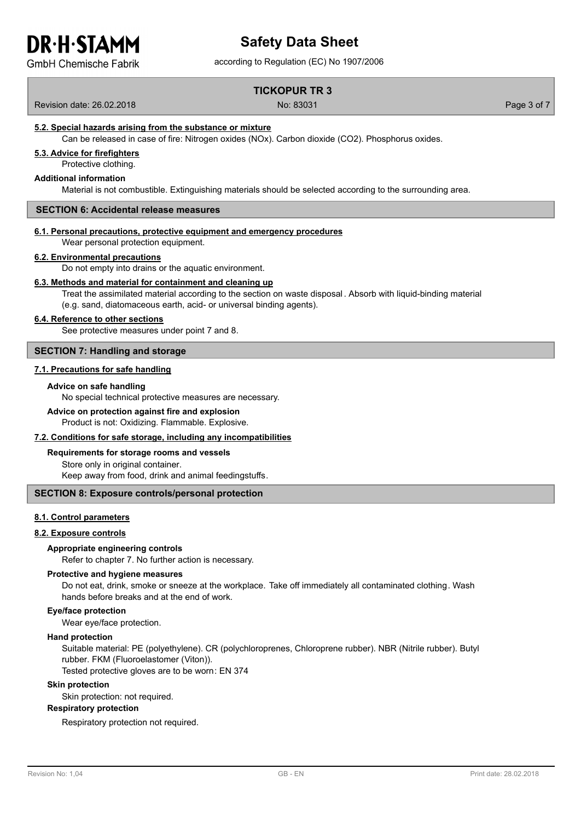**GmbH Chemische Fabrik** 

# **Safety Data Sheet**

according to Regulation (EC) No 1907/2006

## **TICKOPUR TR 3**

Revision date: 26.02.2018 No: 83031 Page 3 of 7

## **5.2. Special hazards arising from the substance or mixture**

Can be released in case of fire: Nitrogen oxides (NOx). Carbon dioxide (CO2). Phosphorus oxides.

## **5.3. Advice for firefighters**

Protective clothing.

## **Additional information**

Material is not combustible. Extinguishing materials should be selected according to the surrounding area.

#### **SECTION 6: Accidental release measures**

## **6.1. Personal precautions, protective equipment and emergency procedures**

Wear personal protection equipment.

#### **6.2. Environmental precautions**

Do not empty into drains or the aquatic environment.

#### **6.3. Methods and material for containment and cleaning up**

Treat the assimilated material according to the section on waste disposal . Absorb with liquid-binding material (e.g. sand, diatomaceous earth, acid- or universal binding agents).

#### **6.4. Reference to other sections**

See protective measures under point 7 and 8.

## **SECTION 7: Handling and storage**

## **7.1. Precautions for safe handling**

## **Advice on safe handling**

No special technical protective measures are necessary.

## **Advice on protection against fire and explosion**

Product is not: Oxidizing. Flammable. Explosive.

#### **7.2. Conditions for safe storage, including any incompatibilities**

## **Requirements for storage rooms and vessels**

Store only in original container. Keep away from food, drink and animal feedingstuffs.

## **SECTION 8: Exposure controls/personal protection**

## **8.1. Control parameters**

## **8.2. Exposure controls**

## **Appropriate engineering controls**

Refer to chapter 7. No further action is necessary.

#### **Protective and hygiene measures**

Do not eat, drink, smoke or sneeze at the workplace. Take off immediately all contaminated clothing. Wash hands before breaks and at the end of work.

#### **Eye/face protection**

Wear eye/face protection.

## **Hand protection**

Suitable material: PE (polyethylene). CR (polychloroprenes, Chloroprene rubber). NBR (Nitrile rubber). Butyl rubber. FKM (Fluoroelastomer (Viton)).

Tested protective gloves are to be worn: EN 374

## **Skin protection**

Skin protection: not required.

## **Respiratory protection**

Respiratory protection not required.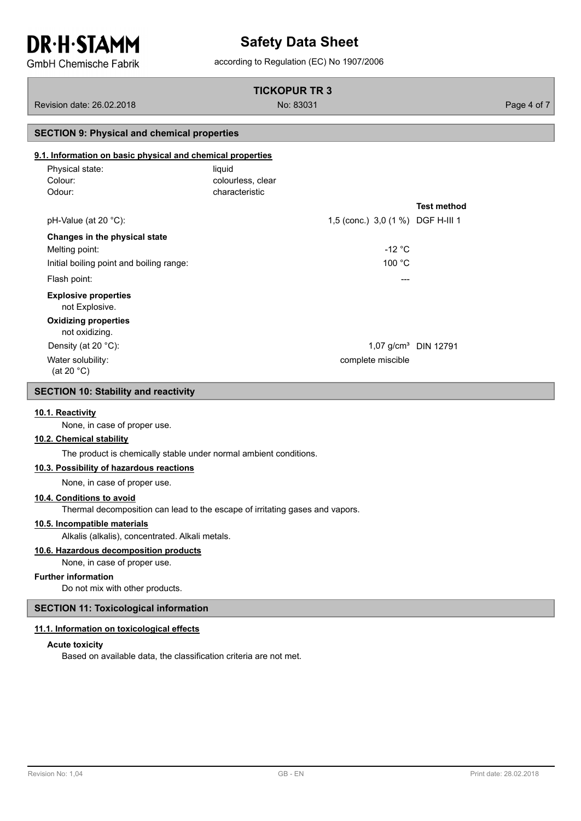## **Safety Data Sheet**

**GmbH Chemische Fabrik** 

## according to Regulation (EC) No 1907/2006

## **TICKOPUR TR 3**

Revision date: 26.02.2018 No: 83031 Page 4 of 7

## **SECTION 9: Physical and chemical properties**

## **9.1. Information on basic physical and chemical properties**

| Physical state:<br>Colour:                    | liquid<br>colourless, clear       |                                  |
|-----------------------------------------------|-----------------------------------|----------------------------------|
| Odour:                                        | characteristic                    |                                  |
|                                               |                                   | <b>Test method</b>               |
| $pH-Value$ (at 20 °C):                        | 1,5 (conc.) 3,0 (1 %) DGF H-III 1 |                                  |
| Changes in the physical state                 |                                   |                                  |
| Melting point:                                | $-12 °C$                          |                                  |
| Initial boiling point and boiling range:      | 100 °C                            |                                  |
| Flash point:                                  | ---                               |                                  |
| <b>Explosive properties</b><br>not Explosive. |                                   |                                  |
| <b>Oxidizing properties</b><br>not oxidizing. |                                   |                                  |
| Density (at 20 $°C$ ):                        |                                   | 1,07 g/cm <sup>3</sup> DIN 12791 |
| Water solubility:<br>(at 20 $°C$ )            | complete miscible                 |                                  |

## **SECTION 10: Stability and reactivity**

## **10.1. Reactivity**

None, in case of proper use.

## **10.2. Chemical stability**

The product is chemically stable under normal ambient conditions.

## **10.3. Possibility of hazardous reactions**

None, in case of proper use.

## **10.4. Conditions to avoid**

Thermal decomposition can lead to the escape of irritating gases and vapors.

## **10.5. Incompatible materials**

Alkalis (alkalis), concentrated. Alkali metals.

## **10.6. Hazardous decomposition products**

None, in case of proper use.

## **Further information**

Do not mix with other products.

## **SECTION 11: Toxicological information**

#### **11.1. Information on toxicological effects**

#### **Acute toxicity**

Based on available data, the classification criteria are not met.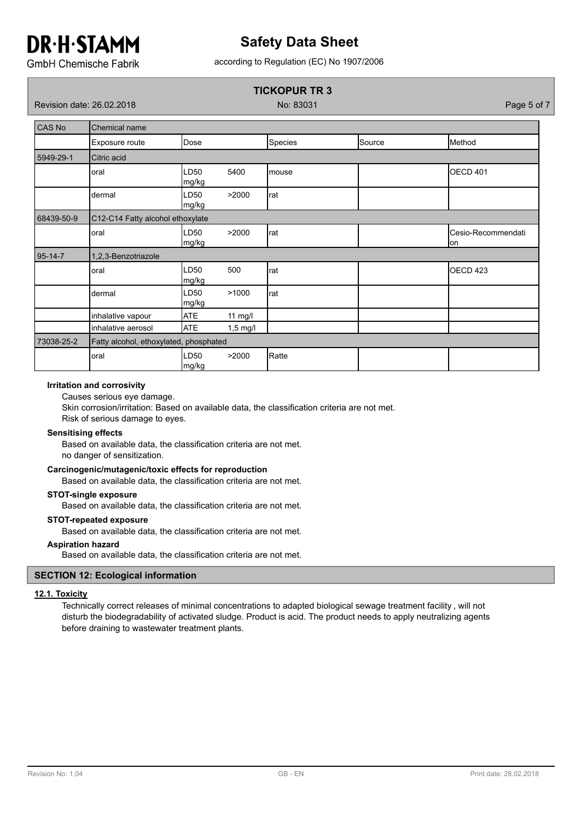## **Safety Data Sheet**

according to Regulation (EC) No 1907/2006

**GmbH Chemische Fabrik** 

## **TICKOPUR TR 3**

Revision date: 26.02.2018 No: 83031 Page 5 of 7

| CAS No     | Chemical name                          |                           |            |         |        |                           |  |  |
|------------|----------------------------------------|---------------------------|------------|---------|--------|---------------------------|--|--|
|            | Exposure route                         | Dose                      |            | Species | Source | Method                    |  |  |
| 5949-29-1  | Citric acid                            |                           |            |         |        |                           |  |  |
|            | oral                                   | LD50<br>mg/kg             | 5400       | mouse   |        | OECD 401                  |  |  |
|            | dermal                                 | LD50<br>mg/kg             | >2000      | rat     |        |                           |  |  |
| 68439-50-9 | C12-C14 Fatty alcohol ethoxylate       |                           |            |         |        |                           |  |  |
|            | oral                                   | LD <sub>50</sub><br>mg/kg | >2000      | rat     |        | Cesio-Recommendati<br>lon |  |  |
| 95-14-7    | 1,2,3-Benzotriazole                    |                           |            |         |        |                           |  |  |
|            | oral                                   | LD50<br>mg/kg             | 500        | rat     |        | OECD <sub>423</sub>       |  |  |
|            | dermal                                 | LD50<br>mg/kg             | >1000      | rat     |        |                           |  |  |
|            | inhalative vapour                      | <b>ATE</b>                | $11$ mg/l  |         |        |                           |  |  |
|            | inhalative aerosol                     | <b>ATE</b>                | $1,5$ mg/l |         |        |                           |  |  |
| 73038-25-2 | Fatty alcohol, ethoxylated, phosphated |                           |            |         |        |                           |  |  |
|            | oral                                   | LD50<br>mg/kg             | >2000      | Ratte   |        |                           |  |  |

## **Irritation and corrosivity**

Causes serious eye damage.

Skin corrosion/irritation: Based on available data, the classification criteria are not met.

Risk of serious damage to eyes.

## **Sensitising effects**

Based on available data, the classification criteria are not met. no danger of sensitization.

## **Carcinogenic/mutagenic/toxic effects for reproduction**

Based on available data, the classification criteria are not met.

## **STOT-single exposure**

Based on available data, the classification criteria are not met.

## **STOT-repeated exposure**

Based on available data, the classification criteria are not met.

## **Aspiration hazard**

Based on available data, the classification criteria are not met.

## **SECTION 12: Ecological information**

## **12.1. Toxicity**

Technically correct releases of minimal concentrations to adapted biological sewage treatment facility , will not disturb the biodegradability of activated sludge. Product is acid. The product needs to apply neutralizing agents before draining to wastewater treatment plants.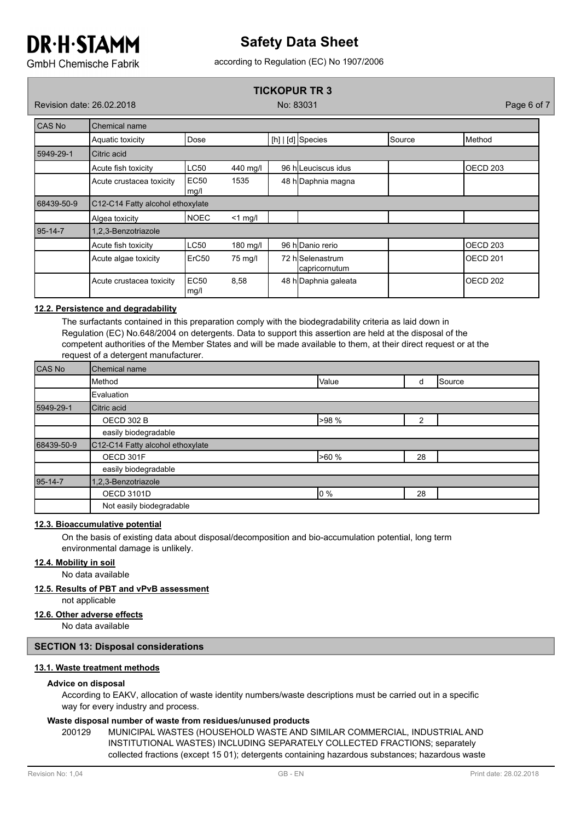## **Safety Data Sheet**

according to Regulation (EC) No 1907/2006

**GmbH Chemische Fabrik** 

## **TICKOPUR TR 3**

Revision date: 26.02.2018 No: 83031 Page 6 of 7

| CAS No     | Chemical name                    |                   |            |  |                                   |        |                     |  |
|------------|----------------------------------|-------------------|------------|--|-----------------------------------|--------|---------------------|--|
|            | Aquatic toxicity                 | Dose              |            |  | [h] $ d]$ Species                 | Source | Method              |  |
| 5949-29-1  | Citric acid                      |                   |            |  |                                   |        |                     |  |
|            | Acute fish toxicity              | <b>LC50</b>       | 440 mg/l   |  | 96 h Leuciscus idus               |        | OECD <sub>203</sub> |  |
|            | Acute crustacea toxicity         | EC50<br>mg/l      | 1535       |  | 48 h Daphnia magna                |        |                     |  |
| 68439-50-9 | C12-C14 Fatty alcohol ethoxylate |                   |            |  |                                   |        |                     |  |
|            | Algea toxicity                   | <b>NOEC</b>       | $<$ 1 mg/l |  |                                   |        |                     |  |
| 95-14-7    | 1,2,3-Benzotriazole              |                   |            |  |                                   |        |                     |  |
|            | Acute fish toxicity              | <b>LC50</b>       | 180 mg/l   |  | 96 h Danio rerio                  |        | OECD <sub>203</sub> |  |
|            | Acute algae toxicity             | ErC <sub>50</sub> | 75 mg/l    |  | 72 hlSelenastrum<br>capricornutum |        | <b>I</b> OECD 201   |  |
|            | Acute crustacea toxicity         | EC50<br>mg/l      | 8,58       |  | 48 h Daphnia galeata              |        | OECD 202            |  |

## **12.2. Persistence and degradability**

The surfactants contained in this preparation comply with the biodegradability criteria as laid down in Regulation (EC) No.648/2004 on detergents. Data to support this assertion are held at the disposal of the competent authorities of the Member States and will be made available to them, at their direct request or at the request of a detergent manufacturer.

| CAS No               | <b>Chemical name</b>                        |       |   |        |  |  |  |
|----------------------|---------------------------------------------|-------|---|--------|--|--|--|
|                      | <b>Method</b>                               | Value | d | Source |  |  |  |
|                      | Evaluation                                  |       |   |        |  |  |  |
| 5949-29-1            | Citric acid                                 |       |   |        |  |  |  |
|                      | <b>OECD 302 B</b><br>>98 %<br>$\mathcal{P}$ |       |   |        |  |  |  |
|                      | easily biodegradable                        |       |   |        |  |  |  |
| 68439-50-9           | C12-C14 Fatty alcohol ethoxylate            |       |   |        |  |  |  |
|                      | >60%<br>OECD 301F<br>28                     |       |   |        |  |  |  |
| easily biodegradable |                                             |       |   |        |  |  |  |
| 95-14-7              | 1,2,3-Benzotriazole                         |       |   |        |  |  |  |
|                      | $0\%$<br><b>OECD 3101D</b><br>28            |       |   |        |  |  |  |
|                      | Not easily biodegradable                    |       |   |        |  |  |  |

## **12.3. Bioaccumulative potential**

On the basis of existing data about disposal/decomposition and bio-accumulation potential, long term environmental damage is unlikely.

## **12.4. Mobility in soil**

No data available

## **12.5. Results of PBT and vPvB assessment**

not applicable

**12.6. Other adverse effects**

No data available

## **SECTION 13: Disposal considerations**

## **13.1. Waste treatment methods**

## **Advice on disposal**

According to EAKV, allocation of waste identity numbers/waste descriptions must be carried out in a specific way for every industry and process.

## **Waste disposal number of waste from residues/unused products**

200129 MUNICIPAL WASTES (HOUSEHOLD WASTE AND SIMILAR COMMERCIAL, INDUSTRIAL AND INSTITUTIONAL WASTES) INCLUDING SEPARATELY COLLECTED FRACTIONS; separately collected fractions (except 15 01); detergents containing hazardous substances; hazardous waste